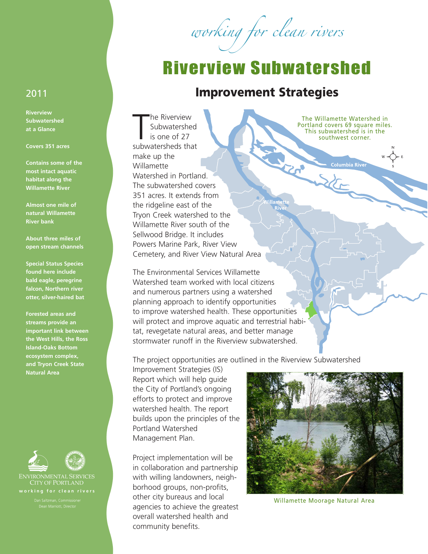working for clean rivers

## Riverview Subwatershed

## 2011 **Improvement Strategies**

**/illam** 

The R

The Riverview<br>
Subwatershed<br>
is one of 27<br>
subwatersheds that he Riverview **Subwatershed** is one of 27 make up the Willamette Watershed in Portland. The subwatershed covers 351 acres. It extends from the ridgeline east of the Tryon Creek watershed to the Willamette River south of the Sellwood Bridge. It includes Powers Marine Park, River View Cemetery, and River View Natural Area

The Environmental Services Willamette Watershed team worked with local citizens and numerous partners using a watershed planning approach to identify opportunities to improve watershed health. These opportunities will protect and improve aquatic and terrestrial habitat, revegetate natural areas, and better manage stormwater runoff in the Riverview subwatershed.

The project opportunities are outlined in the Riverview Subwatershed

Improvement Strategies (IS) Report which will help guide the City of Portland's ongoing efforts to protect and improve watershed health. The report builds upon the principles of the Portland Watershed Management Plan.

Project implementation will be in collaboration and partnership with willing landowners, neighborhood groups, non-profits, other city bureaus and local agencies to achieve the greatest overall watershed health and community benefits.

The Willamette Watershed in Portland covers 69 square miles. This subwatershed is in the southwest corner.

**Columbia River** 



Willamette Moorage Natural Area

**Riverview Subwatershed at a Glance**

## **Covers 351 acres**

**Contains some of the most intact aquatic habitat along the Willamette River**

**Almost one mile of natural Willamette River bank**

**About three miles of open stream channels**

**Special Status Species found here include bald eagle, peregrine falcon, Northern river otter, silver-haired bat**

**Forested areas and streams provide an important link between the West Hills, the Ross Island-Oaks Bottom ecosystem complex, and Tryon Creek State Natural Area**